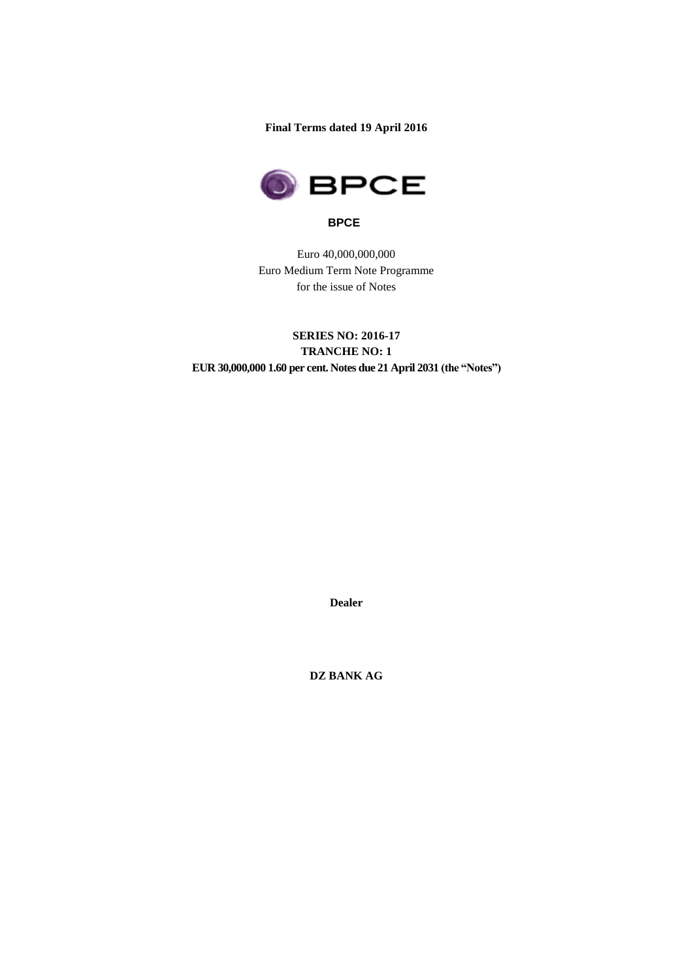**Final Terms dated 19 April 2016**



### **BPCE**

Euro 40,000,000,000 Euro Medium Term Note Programme for the issue of Notes

# **SERIES NO: 2016-17 TRANCHE NO: 1 EUR 30,000,000 1.60 per cent. Notes due 21 April 2031 (the "Notes")**

**Dealer**

**DZ BANK AG**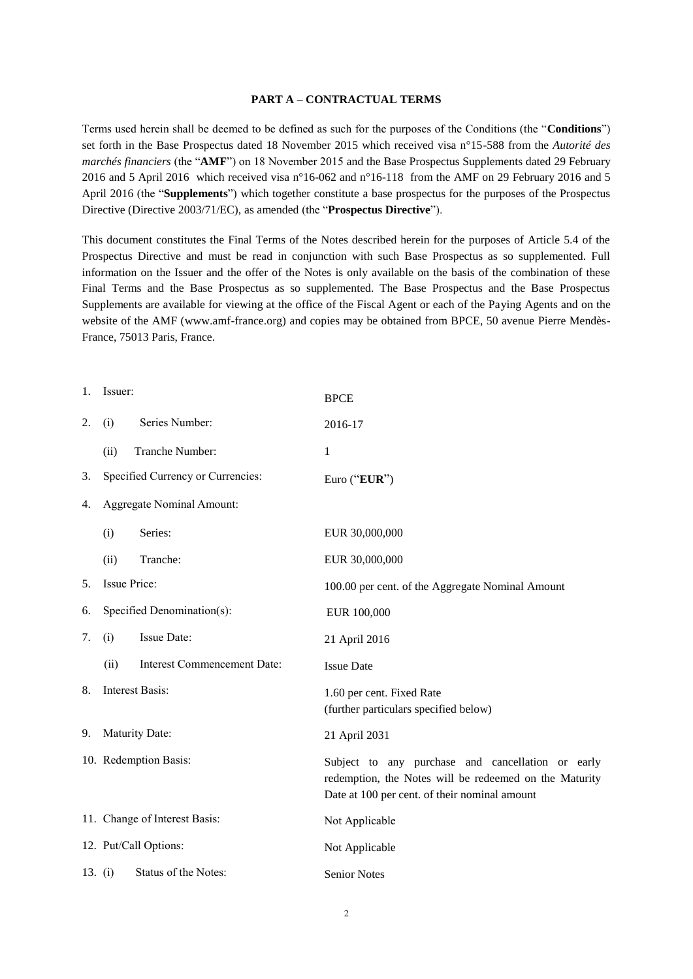#### **PART A – CONTRACTUAL TERMS**

Terms used herein shall be deemed to be defined as such for the purposes of the Conditions (the "**Conditions**") set forth in the Base Prospectus dated 18 November 2015 which received visa n°15-588 from the *Autorité des marchés financiers* (the "**AMF**") on 18 November 2015 and the Base Prospectus Supplements dated 29 February 2016 and 5 April 2016 which received visa n°16-062 and n°16-118 from the AMF on 29 February 2016 and 5 April 2016 (the "**Supplements**") which together constitute a base prospectus for the purposes of the Prospectus Directive (Directive 2003/71/EC), as amended (the "**Prospectus Directive**").

This document constitutes the Final Terms of the Notes described herein for the purposes of Article 5.4 of the Prospectus Directive and must be read in conjunction with such Base Prospectus as so supplemented. Full information on the Issuer and the offer of the Notes is only available on the basis of the combination of these Final Terms and the Base Prospectus as so supplemented. The Base Prospectus and the Base Prospectus Supplements are available for viewing at the office of the Fiscal Agent or each of the Paying Agents and on the website of the AMF (www.amf-france.org) and copies may be obtained from BPCE, 50 avenue Pierre Mendès-France, 75013 Paris, France.

| 1. | Issuer:                    |                                   | <b>BPCE</b>                                                                                                                                                  |
|----|----------------------------|-----------------------------------|--------------------------------------------------------------------------------------------------------------------------------------------------------------|
| 2. | (i)                        | Series Number:                    | 2016-17                                                                                                                                                      |
|    | (ii)                       | Tranche Number:                   | $\mathbf 1$                                                                                                                                                  |
| 3. |                            | Specified Currency or Currencies: | Euro ("EUR")                                                                                                                                                 |
| 4. | Aggregate Nominal Amount:  |                                   |                                                                                                                                                              |
|    | (i)                        | Series:                           | EUR 30,000,000                                                                                                                                               |
|    | (ii)                       | Tranche:                          | EUR 30,000,000                                                                                                                                               |
| 5. | Issue Price:               |                                   | 100.00 per cent. of the Aggregate Nominal Amount                                                                                                             |
| 6. | Specified Denomination(s): |                                   | EUR 100,000                                                                                                                                                  |
| 7. | (i)                        | Issue Date:                       | 21 April 2016                                                                                                                                                |
|    | (ii)                       | Interest Commencement Date:       | <b>Issue Date</b>                                                                                                                                            |
| 8. |                            | <b>Interest Basis:</b>            | 1.60 per cent. Fixed Rate<br>(further particulars specified below)                                                                                           |
| 9. |                            | Maturity Date:                    | 21 April 2031                                                                                                                                                |
|    |                            | 10. Redemption Basis:             | Subject to any purchase and cancellation or early<br>redemption, the Notes will be redeemed on the Maturity<br>Date at 100 per cent. of their nominal amount |
|    |                            | 11. Change of Interest Basis:     | Not Applicable                                                                                                                                               |
|    |                            | 12. Put/Call Options:             | Not Applicable                                                                                                                                               |
|    | 13. $(i)$                  | Status of the Notes:              | <b>Senior Notes</b>                                                                                                                                          |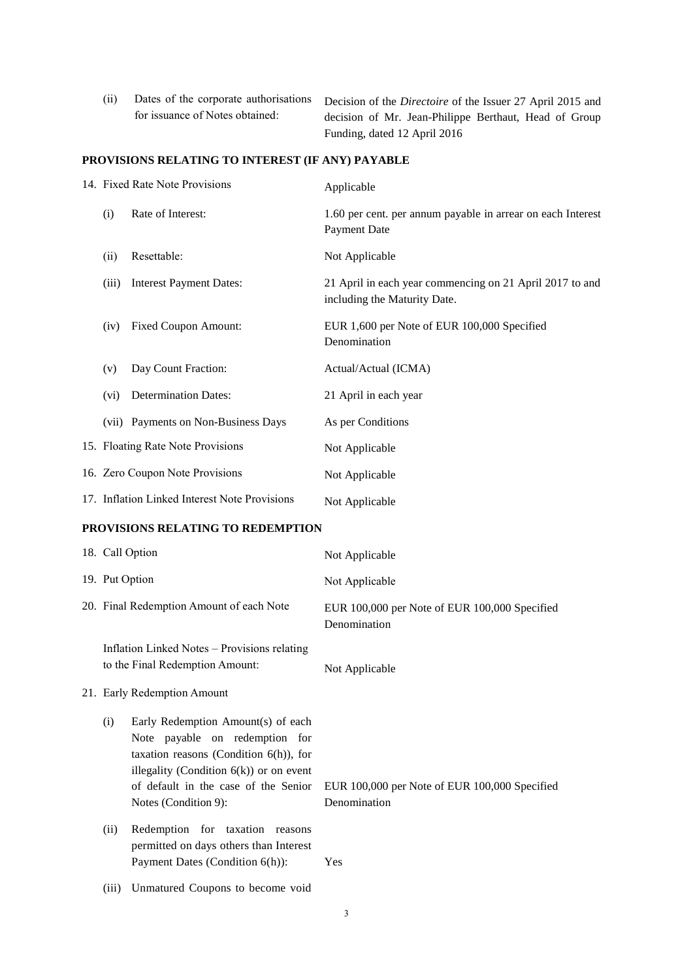(ii) Dates of the corporate authorisations for issuance of Notes obtained: Decision of the *Directoire* of the Issuer 27 April 2015 and decision of Mr. Jean-Philippe Berthaut, Head of Group Funding, dated 12 April 2016

## **PROVISIONS RELATING TO INTEREST (IF ANY) PAYABLE**

|  |                             | 14. Fixed Rate Note Provisions                                                                                                                                                                                                  | Applicable                                                                               |
|--|-----------------------------|---------------------------------------------------------------------------------------------------------------------------------------------------------------------------------------------------------------------------------|------------------------------------------------------------------------------------------|
|  | (i)                         | Rate of Interest:                                                                                                                                                                                                               | 1.60 per cent. per annum payable in arrear on each Interest<br>Payment Date              |
|  | (ii)                        | Resettable:                                                                                                                                                                                                                     | Not Applicable                                                                           |
|  | (iii)                       | <b>Interest Payment Dates:</b>                                                                                                                                                                                                  | 21 April in each year commencing on 21 April 2017 to and<br>including the Maturity Date. |
|  | (iv)                        | <b>Fixed Coupon Amount:</b>                                                                                                                                                                                                     | EUR 1,600 per Note of EUR 100,000 Specified<br>Denomination                              |
|  | (v)                         | Day Count Fraction:                                                                                                                                                                                                             | Actual/Actual (ICMA)                                                                     |
|  | (vi)                        | <b>Determination Dates:</b>                                                                                                                                                                                                     | 21 April in each year                                                                    |
|  |                             | (vii) Payments on Non-Business Days                                                                                                                                                                                             | As per Conditions                                                                        |
|  |                             | 15. Floating Rate Note Provisions                                                                                                                                                                                               | Not Applicable                                                                           |
|  |                             | 16. Zero Coupon Note Provisions                                                                                                                                                                                                 | Not Applicable                                                                           |
|  |                             | 17. Inflation Linked Interest Note Provisions                                                                                                                                                                                   | Not Applicable                                                                           |
|  |                             | PROVISIONS RELATING TO REDEMPTION                                                                                                                                                                                               |                                                                                          |
|  |                             | 18. Call Option                                                                                                                                                                                                                 | Not Applicable                                                                           |
|  |                             | 19. Put Option                                                                                                                                                                                                                  | Not Applicable                                                                           |
|  |                             | 20. Final Redemption Amount of each Note                                                                                                                                                                                        | EUR 100,000 per Note of EUR 100,000 Specified<br>Denomination                            |
|  |                             | Inflation Linked Notes - Provisions relating<br>to the Final Redemption Amount:                                                                                                                                                 | Not Applicable                                                                           |
|  | 21. Early Redemption Amount |                                                                                                                                                                                                                                 |                                                                                          |
|  | (i)                         | Early Redemption Amount(s) of each<br>Note payable on redemption for<br>taxation reasons (Condition $6(h)$ ), for<br>illegality (Condition $6(k)$ ) or on event<br>of default in the case of the Senior<br>Notes (Condition 9): | EUR 100,000 per Note of EUR 100,000 Specified<br>Denomination                            |
|  | (ii)                        | Redemption for taxation reasons<br>permitted on days others than Interest<br>Payment Dates (Condition 6(h)):                                                                                                                    | Yes                                                                                      |
|  | (iii)                       | Unmatured Coupons to become void                                                                                                                                                                                                |                                                                                          |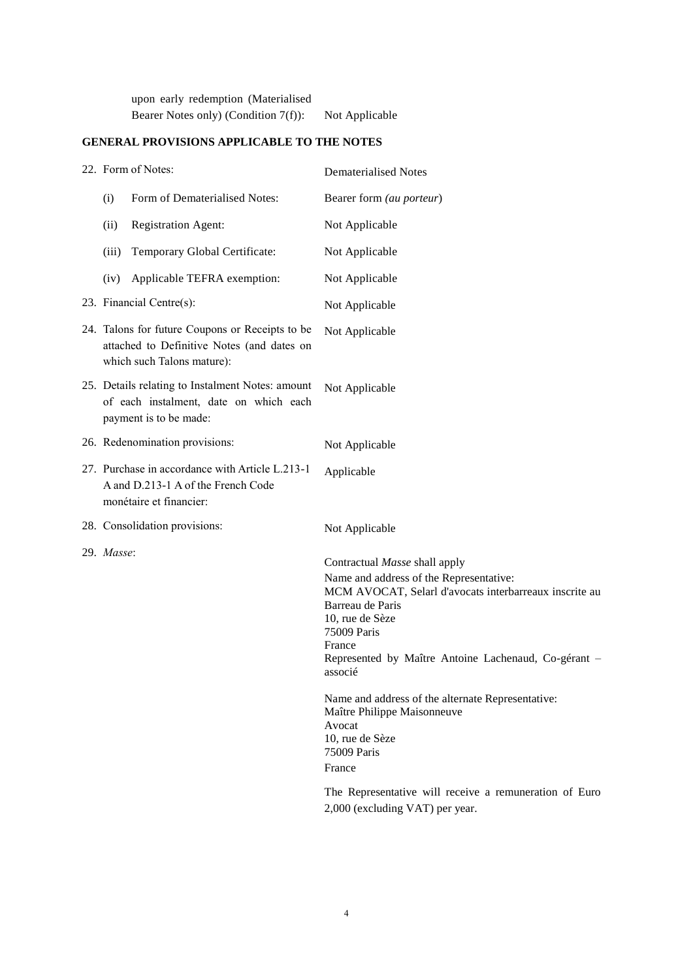upon early redemption (Materialised Bearer Notes only) (Condition 7(f)): Not Applicable

## **GENERAL PROVISIONS APPLICABLE TO THE NOTES**

| 22. Form of Notes:                                                                                                          |                                                                                                                  | <b>Dematerialised Notes</b>                                                                                                                                                                                                                                                                                                                                                                                                                                                                                  |  |
|-----------------------------------------------------------------------------------------------------------------------------|------------------------------------------------------------------------------------------------------------------|--------------------------------------------------------------------------------------------------------------------------------------------------------------------------------------------------------------------------------------------------------------------------------------------------------------------------------------------------------------------------------------------------------------------------------------------------------------------------------------------------------------|--|
| (i)                                                                                                                         | Form of Dematerialised Notes:                                                                                    | Bearer form (au porteur)                                                                                                                                                                                                                                                                                                                                                                                                                                                                                     |  |
| (ii)                                                                                                                        | <b>Registration Agent:</b>                                                                                       | Not Applicable                                                                                                                                                                                                                                                                                                                                                                                                                                                                                               |  |
| (iii)                                                                                                                       | Temporary Global Certificate:                                                                                    | Not Applicable                                                                                                                                                                                                                                                                                                                                                                                                                                                                                               |  |
| (iv)                                                                                                                        | Applicable TEFRA exemption:                                                                                      | Not Applicable                                                                                                                                                                                                                                                                                                                                                                                                                                                                                               |  |
|                                                                                                                             | 23. Financial Centre(s):                                                                                         | Not Applicable                                                                                                                                                                                                                                                                                                                                                                                                                                                                                               |  |
| 24. Talons for future Coupons or Receipts to be<br>attached to Definitive Notes (and dates on<br>which such Talons mature): |                                                                                                                  | Not Applicable                                                                                                                                                                                                                                                                                                                                                                                                                                                                                               |  |
| 25. Details relating to Instalment Notes: amount<br>of each instalment, date on which each<br>payment is to be made:        |                                                                                                                  | Not Applicable                                                                                                                                                                                                                                                                                                                                                                                                                                                                                               |  |
|                                                                                                                             | 26. Redenomination provisions:                                                                                   | Not Applicable                                                                                                                                                                                                                                                                                                                                                                                                                                                                                               |  |
|                                                                                                                             | 27. Purchase in accordance with Article L.213-1<br>A and D.213-1 A of the French Code<br>monétaire et financier: | Applicable                                                                                                                                                                                                                                                                                                                                                                                                                                                                                                   |  |
|                                                                                                                             | 28. Consolidation provisions:                                                                                    | Not Applicable                                                                                                                                                                                                                                                                                                                                                                                                                                                                                               |  |
| 29. Masse:                                                                                                                  |                                                                                                                  | Contractual Masse shall apply<br>Name and address of the Representative:<br>MCM AVOCAT, Selarl d'avocats interbarreaux inscrite au<br>Barreau de Paris<br>10, rue de Sèze<br>75009 Paris<br>France<br>Represented by Maître Antoine Lachenaud, Co-gérant -<br>associé<br>Name and address of the alternate Representative:<br>Maître Philippe Maisonneuve<br>Avocat<br>10, rue de Sèze<br>75009 Paris<br>France<br>The Representative will receive a remuneration of Euro<br>2,000 (excluding VAT) per year. |  |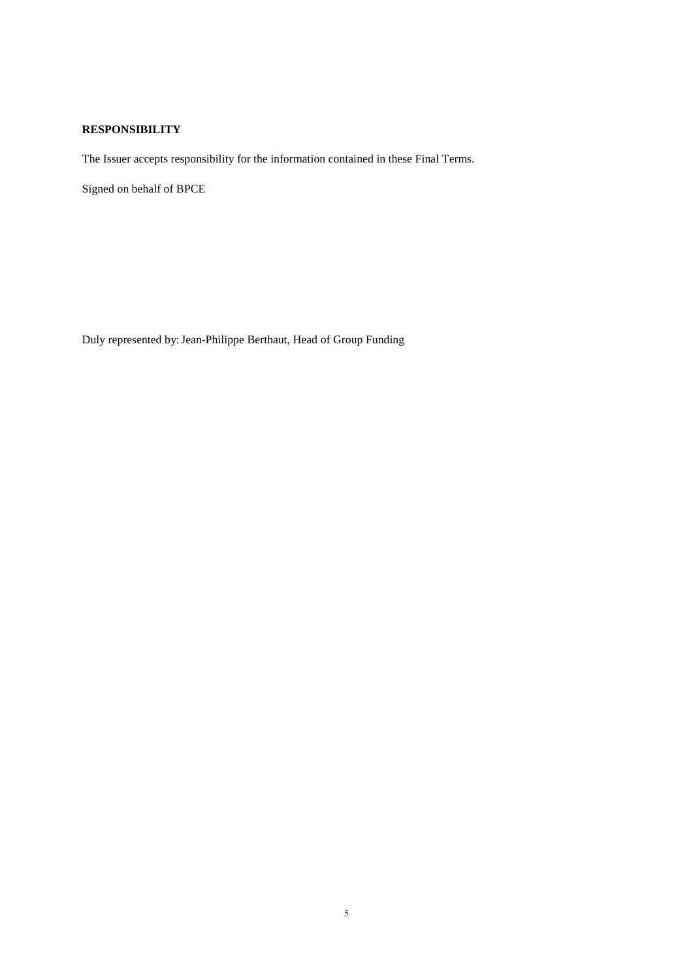## **RESPONSIBILITY**

The Issuer accepts responsibility for the information contained in these Final Terms.

Signed on behalf of BPCE

Duly represented by:Jean-Philippe Berthaut, Head of Group Funding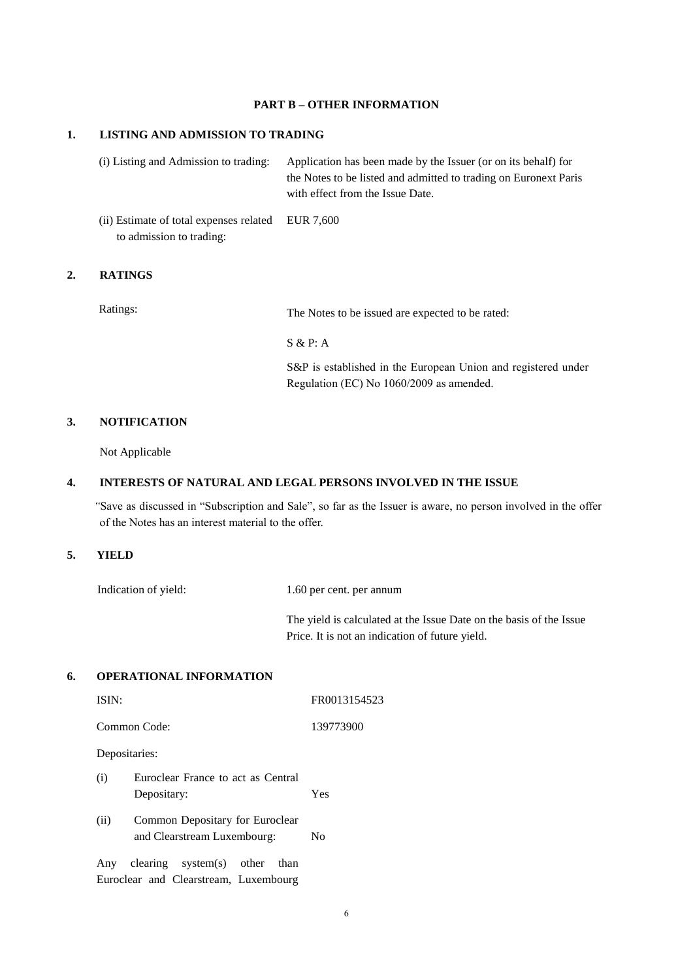#### **PART B – OTHER INFORMATION**

### **1. LISTING AND ADMISSION TO TRADING**

(i) Listing and Admission to trading: Application has been made by the Issuer (or on its behalf) for the Notes to be listed and admitted to trading on Euronext Paris with effect from the Issue Date.

(ii) Estimate of total expenses related to admission to trading: EUR 7,600

### **2. RATINGS**

Ratings: The Notes to be issued are expected to be rated:

S & P: A

S&P is established in the European Union and registered under Regulation (EC) No 1060/2009 as amended.

### **3. NOTIFICATION**

Not Applicable

### **4. INTERESTS OF NATURAL AND LEGAL PERSONS INVOLVED IN THE ISSUE**

 *"*Save as discussed in "Subscription and Sale", so far as the Issuer is aware, no person involved in the offer of the Notes has an interest material to the offer.

#### **5. YIELD**

Indication of yield: 1.60 per cent. per annum

The yield is calculated at the Issue Date on the basis of the Issue Price. It is not an indication of future yield.

#### **6. OPERATIONAL INFORMATION**

| ISIN: |                                                                               | FR0013154523 |
|-------|-------------------------------------------------------------------------------|--------------|
|       | Common Code:                                                                  | 139773900    |
|       | Depositaries:                                                                 |              |
| (i)   | Euroclear France to act as Central<br>Depositary:                             | Yes          |
| (ii)  | Common Depositary for Euroclear<br>and Clearstream Luxembourg:                | No           |
|       | Any clearing system(s) other<br>than<br>Euroclear and Clearstream, Luxembourg |              |